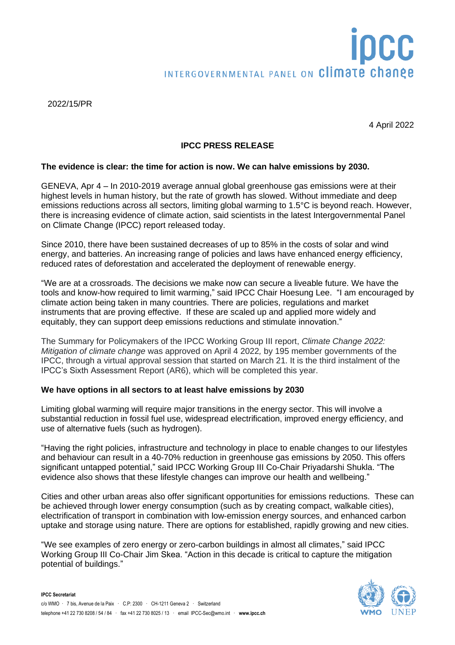# INTERGOVERNMENTAL PANEL ON Climate change

2022/15/PR

4 April 2022

# **IPCC PRESS RELEASE**

### **The evidence is clear: the time for action is now. We can halve emissions by 2030.**

GENEVA, Apr 4 – In 2010-2019 average annual global greenhouse gas emissions were at their highest levels in human history, but the rate of growth has slowed. Without immediate and deep emissions reductions across all sectors, limiting global warming to 1.5°C is beyond reach. However, there is increasing evidence of climate action, said scientists in the latest Intergovernmental Panel on Climate Change (IPCC) report released today.

Since 2010, there have been sustained decreases of up to 85% in the costs of solar and wind energy, and batteries. An increasing range of policies and laws have enhanced energy efficiency, reduced rates of deforestation and accelerated the deployment of renewable energy.

"We are at a crossroads. The decisions we make now can secure a liveable future. We have the tools and know-how required to limit warming," said IPCC Chair Hoesung Lee. "I am encouraged by climate action being taken in many countries. There are policies, regulations and market instruments that are proving effective. If these are scaled up and applied more widely and equitably, they can support deep emissions reductions and stimulate innovation."

The Summary for Policymakers of the IPCC Working Group III report, *Climate Change 2022: Mitigation of climate change* was approved on April 4 2022*,* by 195 member governments of the IPCC, through a virtual approval session that started on March 21. It is the third instalment of the IPCC's Sixth Assessment Report (AR6), which will be completed this year.

## **We have options in all sectors to at least halve emissions by 2030**

Limiting global warming will require major transitions in the energy sector. This will involve a substantial reduction in fossil fuel use, widespread electrification, improved energy efficiency, and use of alternative fuels (such as hydrogen).

"Having the right policies, infrastructure and technology in place to enable changes to our lifestyles and behaviour can result in a 40-70% reduction in greenhouse gas emissions by 2050. This offers significant untapped potential," said IPCC Working Group III Co-Chair Priyadarshi Shukla. "The evidence also shows that these lifestyle changes can improve our health and wellbeing."

Cities and other urban areas also offer significant opportunities for emissions reductions. These can be achieved through lower energy consumption (such as by creating compact, walkable cities), electrification of transport in combination with low-emission energy sources, and enhanced carbon uptake and storage using nature. There are options for established, rapidly growing and new cities.

"We see examples of zero energy or zero-carbon buildings in almost all climates," said IPCC Working Group III Co-Chair Jim Skea. "Action in this decade is critical to capture the mitigation potential of buildings."

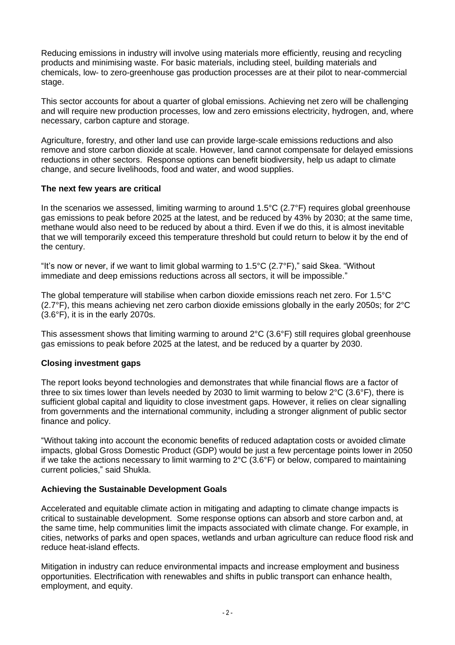Reducing emissions in industry will involve using materials more efficiently, reusing and recycling products and minimising waste. For basic materials, including steel, building materials and chemicals, low- to zero-greenhouse gas production processes are at their pilot to near-commercial stage.

This sector accounts for about a quarter of global emissions. Achieving net zero will be challenging and will require new production processes, low and zero emissions electricity, hydrogen, and, where necessary, carbon capture and storage.

Agriculture, forestry, and other land use can provide large-scale emissions reductions and also remove and store carbon dioxide at scale. However, land cannot compensate for delayed emissions reductions in other sectors. Response options can benefit biodiversity, help us adapt to climate change, and secure livelihoods, food and water, and wood supplies.

## **The next few years are critical**

In the scenarios we assessed, limiting warming to around 1.5°C (2.7°F) requires global greenhouse gas emissions to peak before 2025 at the latest, and be reduced by 43% by 2030; at the same time, methane would also need to be reduced by about a third. Even if we do this, it is almost inevitable that we will temporarily exceed this temperature threshold but could return to below it by the end of the century.

"It's now or never, if we want to limit global warming to 1.5°C (2.7°F)," said Skea. "Without immediate and deep emissions reductions across all sectors, it will be impossible."

The global temperature will stabilise when carbon dioxide emissions reach net zero. For 1.5°C (2.7°F), this means achieving net zero carbon dioxide emissions globally in the early 2050s; for 2°C (3.6°F), it is in the early 2070s.

This assessment shows that limiting warming to around 2°C (3.6°F) still requires global greenhouse gas emissions to peak before 2025 at the latest, and be reduced by a quarter by 2030.

## **Closing investment gaps**

The report looks beyond technologies and demonstrates that while financial flows are a factor of three to six times lower than levels needed by 2030 to limit warming to below 2°C (3.6°F), there is sufficient global capital and liquidity to close investment gaps. However, it relies on clear signalling from governments and the international community, including a stronger alignment of public sector finance and policy.

"Without taking into account the economic benefits of reduced adaptation costs or avoided climate impacts, global Gross Domestic Product (GDP) would be just a few percentage points lower in 2050 if we take the actions necessary to limit warming to  $2^{\circ}C$  (3.6°F) or below, compared to maintaining current policies," said Shukla.

## **Achieving the Sustainable Development Goals**

Accelerated and equitable climate action in mitigating and adapting to climate change impacts is critical to sustainable development. Some response options can absorb and store carbon and, at the same time, help communities limit the impacts associated with climate change. For example, in cities, networks of parks and open spaces, wetlands and urban agriculture can reduce flood risk and reduce heat-island effects.

Mitigation in industry can reduce environmental impacts and increase employment and business opportunities. Electrification with renewables and shifts in public transport can enhance health, employment, and equity.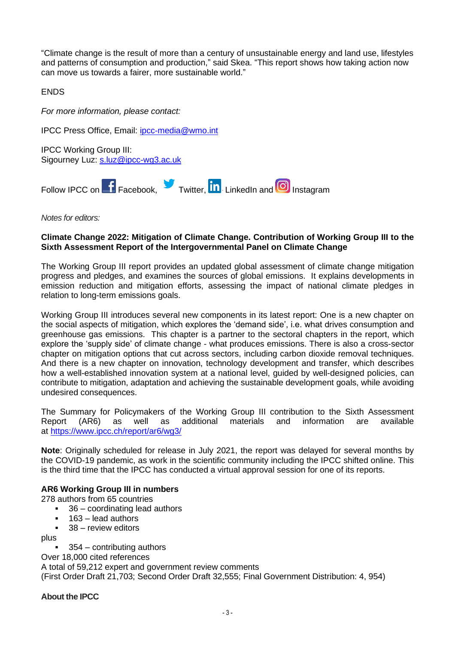"Climate change is the result of more than a century of unsustainable energy and land use, lifestyles and patterns of consumption and production," said Skea. "This report shows how taking action now can move us towards a fairer, more sustainable world."

ENDS

*For more information, please contact:*

IPCC Press Office, Email: [ipcc-media@wmo.int](mailto:ipcc-media@wmo.int)

IPCC Working Group III: Sigourney Luz: [s.luz@ipcc-wg3.ac.uk](../../../../../../../amahecic_wmo_int/Documents/Documents/Word/P56/s.luz@ipcc-wg3.ac.uk)



*Notes for editors:*

# **Climate Change 2022: Mitigation of Climate Change. Contribution of Working Group III to the Sixth Assessment Report of the Intergovernmental Panel on Climate Change**

The Working Group III report provides an updated global assessment of climate change mitigation progress and pledges, and examines the sources of global emissions. It explains developments in emission reduction and mitigation efforts, assessing the impact of national climate pledges in relation to long-term emissions goals.

Working Group III introduces several new components in its latest report: One is a new chapter on the social aspects of mitigation, which explores the 'demand side', i.e. what drives consumption and greenhouse gas emissions. This chapter is a partner to the sectoral chapters in the report, which explore the 'supply side' of climate change - what produces emissions. There is also a cross-sector chapter on mitigation options that cut across sectors, including carbon dioxide removal techniques. And there is a new chapter on innovation, technology development and transfer, which describes how a well-established innovation system at a national level, guided by well-designed policies, can contribute to mitigation, adaptation and achieving the sustainable development goals, while avoiding undesired consequences.

The Summary for Policymakers of the Working Group III contribution to the Sixth Assessment Report (AR6) as well as additional materials and information are available at <https://www.ipcc.ch/report/ar6/wg3/>

**Note**: Originally scheduled for release in July 2021, the report was delayed for several months by the COVID-19 pandemic, as work in the scientific community including the IPCC shifted online. This is the third time that the IPCC has conducted a virtual approval session for one of its reports.

## **AR6 Working Group III in numbers**

278 authors from 65 countries

- 36 coordinating lead authors
- 163 lead authors
- $38 -$  review editors

plus

 $354$  – contributing authors

Over 18,000 cited references

A total of 59,212 expert and government review comments (First Order Draft 21,703; Second Order Draft 32,555; Final Government Distribution: 4, 954)

**About the IPCC**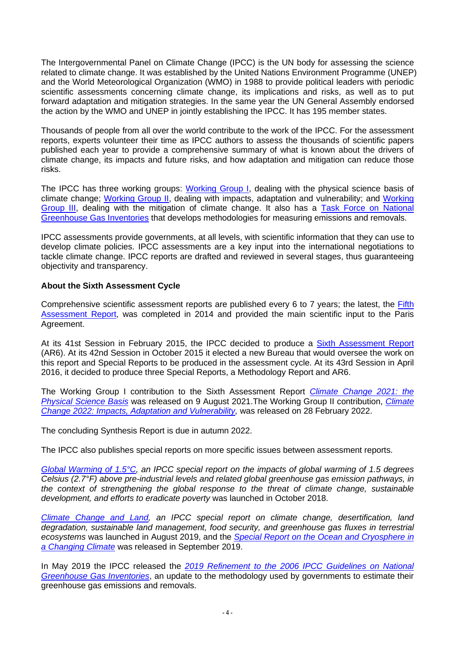The Intergovernmental Panel on Climate Change (IPCC) is the UN body for assessing the science related to climate change. It was established by the United Nations Environment Programme (UNEP) and the World Meteorological Organization (WMO) in 1988 to provide political leaders with periodic scientific assessments concerning climate change, its implications and risks, as well as to put forward adaptation and mitigation strategies. In the same year the UN General Assembly endorsed the action by the WMO and UNEP in jointly establishing the IPCC. It has 195 member states.

Thousands of people from all over the world contribute to the work of the IPCC. For the assessment reports, experts volunteer their time as IPCC authors to assess the thousands of scientific papers published each year to provide a comprehensive summary of what is known about the drivers of climate change, its impacts and future risks, and how adaptation and mitigation can reduce those risks.

The IPCC has three working groups: [Working Group I,](https://www.ipcc.ch/working-group/wg1/) dealing with the physical science basis of climate change; [Working Group II,](https://www.ipcc.ch/working-group/wg2/) dealing with impacts, adaptation and vulnerability; and [Working](https://www.ipcc.ch/working-group/wg3/)  [Group III,](https://www.ipcc.ch/working-group/wg3/) dealing with the mitigation of climate change. It also has a [Task Force on National](https://www.ipcc.ch/working-group/tfi/)  [Greenhouse Gas Inventories](https://www.ipcc.ch/working-group/tfi/) that develops methodologies for measuring emissions and removals.

IPCC assessments provide governments, at all levels, with scientific information that they can use to develop climate policies. IPCC assessments are a key input into the international negotiations to tackle climate change. IPCC reports are drafted and reviewed in several stages, thus guaranteeing objectivity and transparency.

# **About the Sixth Assessment Cycle**

Comprehensive scientific assessment reports are published every 6 to 7 years; the latest, the Fifth [Assessment](https://www.ipcc.ch/assessment-report/ar5/) Report, was completed in 2014 and provided the main scientific input to the Paris Agreement.

At its 41st Session in February 2015, the IPCC decided to produce a [Sixth Assessment Report](https://www.ipcc.ch/assessment-report/ar6/) (AR6). At its 42nd Session in October 2015 it elected a new Bureau that would oversee the work on this report and Special Reports to be produced in the assessment cycle. At its 43rd Session in April 2016, it decided to produce three Special Reports, a Methodology Report and AR6.

The Working Group I contribution to the Sixth Assessment Report *[Climate Change 2021: the](https://www.ipcc.ch/report/sixth-assessment-report-working-group-i/)  [Physical Science Basis](https://www.ipcc.ch/report/sixth-assessment-report-working-group-i/)* was released on 9 August 2021.The Working Group II contribution, *[Climate](https://www.ipcc.ch/report/sixth-assessment-report-working-group-3/)  [Change 2022: Impacts, Adaptation and Vulnerability,](https://www.ipcc.ch/report/sixth-assessment-report-working-group-3/)* was released on 28 February 2022.

The concluding Synthesis Report is due in autumn 2022.

The IPCC also publishes special reports on more specific issues between assessment reports.

*[Global Warming](https://www.ipcc.ch/sr15/) of 1.5°C, an IPCC special report on the impacts of global warming of 1.5 degrees Celsius (2.7°F) above pre-industrial levels and related global greenhouse gas emission pathways, in the context of strengthening the global response to the threat of climate change, sustainable development, and efforts to eradicate poverty* was launched in October 2018.

*[Climate Change and Land,](https://www.ipcc.ch/srccl/) an IPCC special report on climate change, desertification, land degradation, sustainable land management, food security, and greenhouse gas fluxes in terrestrial ecosystems* was launched in August 2019, and the *[Special Report on the Ocean and Cryosphere in](https://www.ipcc.ch/srocc/)  [a Changing Climate](https://www.ipcc.ch/srocc/)* was released in September 2019.

In May 2019 the IPCC released the *2019 [Refinement to the 2006 IPCC Guidelines on National](https://www.ipcc.ch/report/2019-refinement-to-the-2006-ipcc-guidelines-for-national-greenhouse-gas-inventories/)  [Greenhouse Gas Inventories](https://www.ipcc.ch/report/2019-refinement-to-the-2006-ipcc-guidelines-for-national-greenhouse-gas-inventories/)*, an update to the methodology used by governments to estimate their greenhouse gas emissions and removals.